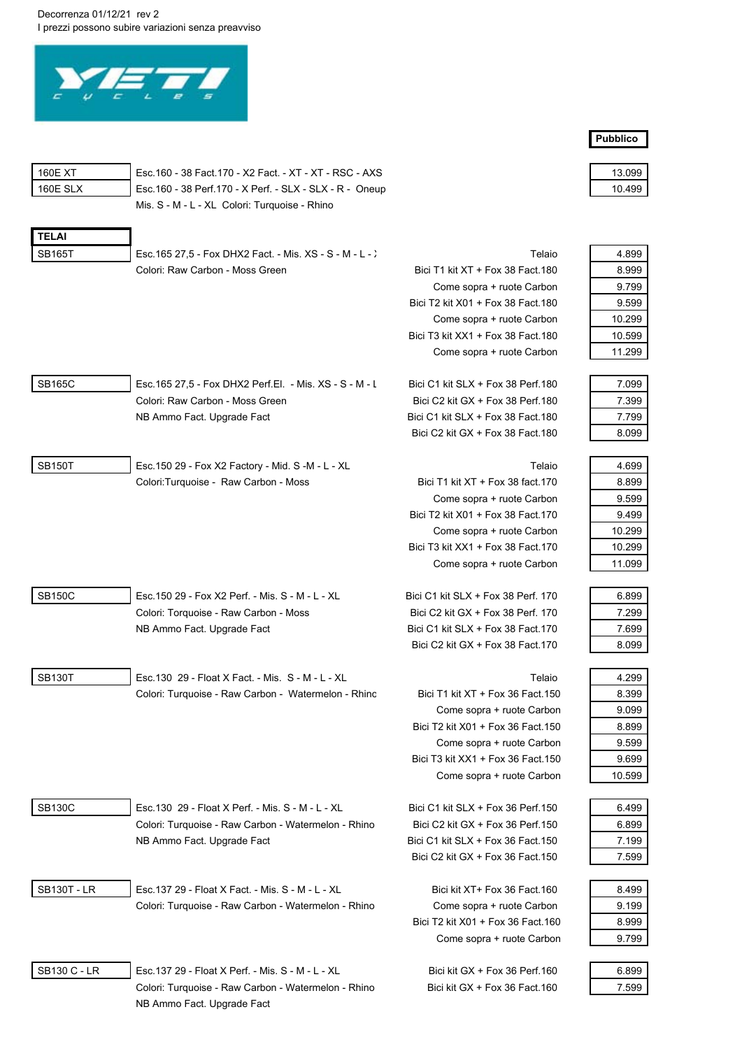Decorrenza 01/12/21 rev 2 I prezzi possono subire variazioni senza preavviso



| 160E XT   |
|-----------|
| 160F SI X |
|           |

Esc.160 - 38 Fact.170 - X2 Fact. - XT - XT - RSC - AXS Esc.160 - 38 Perf.170 - X Perf. - SLX - SLX - R - Oneup Mis. S - M - L - XL Colori: Turquoise - Rhino

| FI Al         |  |
|---------------|--|
| <b>SB165T</b> |  |
|               |  |

Esc.165 27,5 - Fox DHX2 Fact. - Mis. XS - S - M - L - X Telaio 4.8999 4.8999 4.8999 4.8999 4.8999 4.8999 4.899

|            | Colori: Raw Carbon - Moss Green                          | Bici T1 kit XT + Fox 38 Fact 180   | 8.999  |
|------------|----------------------------------------------------------|------------------------------------|--------|
|            |                                                          | Come sopra + ruote Carbon          | 9.799  |
|            |                                                          | Bici T2 kit X01 + Fox 38 Fact 180  | 9.599  |
|            |                                                          | Come sopra + ruote Carbon          | 10.299 |
|            |                                                          | Bici T3 kit XX1 + Fox 38 Fact 180  | 10.599 |
|            |                                                          | Come sopra + ruote Carbon          | 11.299 |
|            |                                                          |                                    |        |
| SB165C     | Esc. 165 27.5 - Fox DHX2 Perf. El. - Mis. XS - S - M - L | Bici C1 kit SLX + Fox 38 Perf. 180 | 7.099  |
|            | Colori: Raw Carbon - Moss Green                          | Bici C2 kit GX $+$ Fox 38 Perf.180 | 7.399  |
|            | NB Ammo Fact. Upgrade Fact                               | Bici C1 kit SLX + Fox 38 Fact 180  | 7.799  |
|            |                                                          | Bici C2 kit GX + Fox 38 Fact 180   | 8.099  |
|            |                                                          |                                    |        |
| -- - - - - |                                                          |                                    |        |

SB150T Esc.150 29 - Fox X2 Factory - Mid. S -M - L - XL **A.6 999 - A.6 999 - A.6 999 - A.6 999 - A.6 999 - A.6 9** Colori:Turquoise - Raw Carbon - Moss Bici T1 kit XT + Fox 38 fact.170

SB150C Esc.150 29 - Fox X2 Perf. - Mis. S - M - L - XL Bici C1 kit SLX + Fox 38 Perf. 170 Colori: Torquoise - Raw Carbon - Moss Bici C2 kit GX + Fox 38 Perf. 170 NB Ammo Fact. Upgrade Fact Bici C1 kit SLX + Fox 38 Fact.170

SB130T Esc.130 29 - Float X Fact. - Mis. S - M - L - XL **And A .2999 - XL** Telaio Colori: Turquoise - Raw Carbon - Watermelon - Rhinc Bici T1 kit XT + Fox 36 Fact.150

| <b>SB130C</b> |  |
|---------------|--|
|               |  |

Esc.130 29 - Float X Perf. - Mis. S - M - L - XL Bici C1 kit SLX + Fox 36 Perf.150 Colori: Turquoise - Raw Carbon - Watermelon - Rhino Bici C2 kit GX + Fox 36 Perf.150 NB Ammo Fact. Upgrade Fact Bici C1 kit SLX + Fox 36 Fact.150

SB130T - LR Esc.137 29 - Float X Fact. - Mis. S - M - L - XL Bici kit XT+ Fox 36 Fact.160 Colori: Turquoise - Raw Carbon - Watermelon - Rhino Come sopra + ruote Carbon

Bici C2 kit GX + Fox 38 Fact.170

Come sopra + ruote Carbon Bici T2 kit X01 + Fox 38 Fact.170 Come sopra + ruote Carbon Bici T3 kit XX1 + Fox 38 Fact.170 Come sopra + ruote Carbon

Come sopra + ruote Carbon Bici T2 kit X01 + Fox 36 Fact.150 Come sopra + ruote Carbon Bici T3 kit  $XX1 + Fox$  36 Fact. 150 Come sopra + ruote Carbon

Bici C2 kit GX + Fox 36 Fact.150

Bici T2 kit X01 + Fox 36 Fact.160 Come sopra + ruote Carbon

| 13.09<br>ч            |
|-----------------------|
| 1<br>$^{\circ}$<br>uu |

| 4 899  |
|--------|
| 8.999  |
| 9 799  |
| 9 599  |
| 10 299 |
| 10.599 |
| 11 299 |

| 7.099 |
|-------|
| 7 399 |
| 7.799 |
| 8.099 |

| 4 699  |
|--------|
| 8.899  |
| 9.599  |
| 9 499  |
| 10 299 |
| 10 299 |
| 11.099 |
|        |

| 6.899 |
|-------|
| 7 299 |
| 7.699 |
| 8 099 |

| 4.299  |
|--------|
| 8.399  |
| 9.099  |
| 8.899  |
| 9 599  |
| 9.699  |
| 10 599 |
|        |

| 6 499 |  |
|-------|--|
| 6.899 |  |
| 7.199 |  |
| 7 599 |  |

| 8.499 |
|-------|
| 9.199 |
| 8.999 |
| 9 799 |

SB130 C - LR Esc.137 29 - Float X Perf. - Mis. S - M - L - XL Bici kit GX + Fox 36 Perf.160 Colori: Turquoise - Raw Carbon - Watermelon - Rhino Bici kit GX + Fox 36 Fact.160 NB Ammo Fact. Upgrade Fact